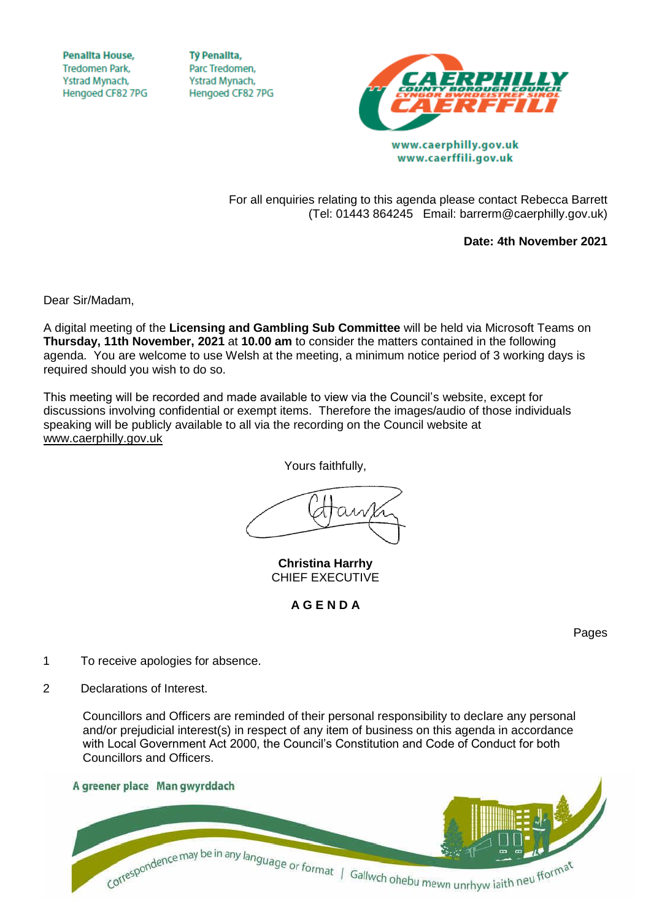**Penallta House, Tredomen Park.** Ystrad Mynach, Hengoed CF82 7PG

**TV Penallta,** Parc Tredomen. Ystrad Mynach, Hengoed CF82 7PG



www.caerphilly.gov.uk www.caerffili.gov.uk

For all enquiries relating to this agenda please contact Rebecca Barrett (Tel: 01443 864245 Email: barrerm@caerphilly.gov.uk)

**Date: 4th November 2021**

Dear Sir/Madam,

A digital meeting of the **Licensing and Gambling Sub Committee** will be held via Microsoft Teams on **Thursday, 11th November, 2021** at **10.00 am** to consider the matters contained in the following agenda. You are welcome to use Welsh at the meeting, a minimum notice period of 3 working days is required should you wish to do so.

This meeting will be recorded and made available to view via the Council's website, except for discussions involving confidential or exempt items. Therefore the images/audio of those individuals speaking will be publicly available to all via the recording on the Council website at [www.caerphilly.gov.uk](http://www.caerphilly.gov.uk/)

Yours faithfully,

**Christina Harrhy** CHIEF EXECUTIVE

**A G E N D A**

Pages

- 1 To receive apologies for absence.
- 2 Declarations of Interest.

Councillors and Officers are reminded of their personal responsibility to declare any personal and/or prejudicial interest(s) in respect of any item of business on this agenda in accordance with Local Government Act 2000, the Council's Constitution and Code of Conduct for both Councillors and Officers.